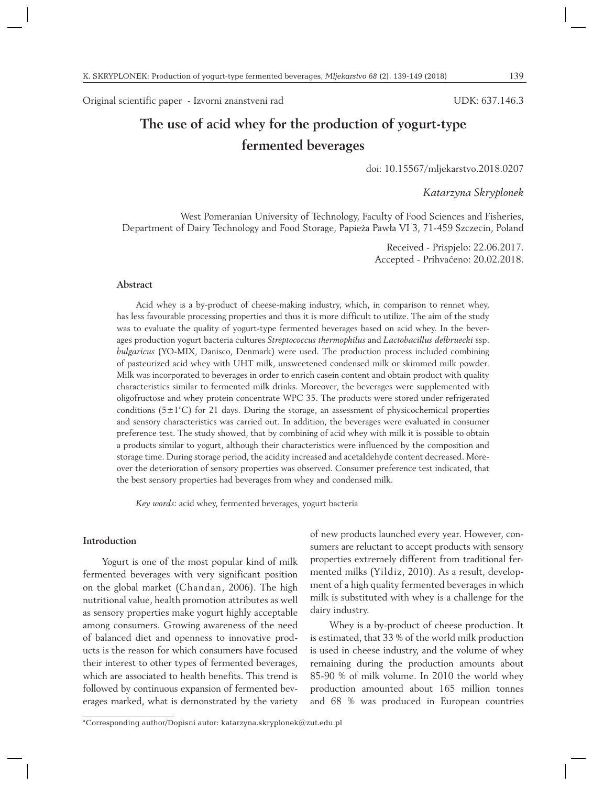Original scientific paper - Izvorni znanstveni rad

#### UDK: 637.146.3

# **The use of acid whey for the production of yogurt-type fermented beverages**

doi: 10.15567/mljekarstvo.2018.0207

*Katarzyna Skryplonek*

West Pomeranian University of Technology, Faculty of Food Sciences and Fisheries, Department of Dairy Technology and Food Storage, Papieża Pawła VI 3, 71-459 Szczecin, Poland

> Received - Prispjelo: 22.06.2017. Accepted - Prihvaćeno: 20.02.2018.

## **Abstract**

Acid whey is a by-product of cheese-making industry, which, in comparison to rennet whey, has less favourable processing properties and thus it is more difficult to utilize. The aim of the study was to evaluate the quality of yogurt-type fermented beverages based on acid whey. In the beverages production yogurt bacteria cultures *Streptococcus thermophilus* and *Lactobacillus delbruecki* ssp. *bulgaricus* (YO-MIX, Danisco, Denmark) were used. The production process included combining of pasteurized acid whey with UHT milk, unsweetened condensed milk or skimmed milk powder. Milk was incorporated to beverages in order to enrich casein content and obtain product with quality characteristics similar to fermented milk drinks. Moreover, the beverages were supplemented with oligofructose and whey protein concentrate WPC 35. The products were stored under refrigerated conditions  $(5\pm1^{\circ}C)$  for 21 days. During the storage, an assessment of physicochemical properties and sensory characteristics was carried out. In addition, the beverages were evaluated in consumer preference test. The study showed, that by combining of acid whey with milk it is possible to obtain a products similar to yogurt, although their characteristics were influenced by the composition and storage time. During storage period, the acidity increased and acetaldehyde content decreased. Moreover the deterioration of sensory properties was observed. Consumer preference test indicated, that the best sensory properties had beverages from whey and condensed milk.

*Key words*: acid whey, fermented beverages, yogurt bacteria

## **Introduction**

Yogurt is one of the most popular kind of milk fermented beverages with very significant position on the global market (Chandan, 2006). The high nutritional value, health promotion attributes as well as sensory properties make yogurt highly acceptable among consumers. Growing awareness of the need of balanced diet and openness to innovative products is the reason for which consumers have focused their interest to other types of fermented beverages, which are associated to health benefits. This trend is followed by continuous expansion of fermented beverages marked, what is demonstrated by the variety of new products launched every year. However, consumers are reluctant to accept products with sensory properties extremely different from traditional fermented milks (Yildiz, 2010). As a result, development of a high quality fermented beverages in which milk is substituted with whey is a challenge for the dairy industry.

Whey is a by-product of cheese production. It is estimated, that 33 % of the world milk production is used in cheese industry, and the volume of whey remaining during the production amounts about 85-90 % of milk volume. In 2010 the world whey production amounted about 165 million tonnes and 68 % was produced in European countries

<sup>\*</sup>Corresponding author/Dopisni autor: katarzyna.skryplonek@zut.edu.pl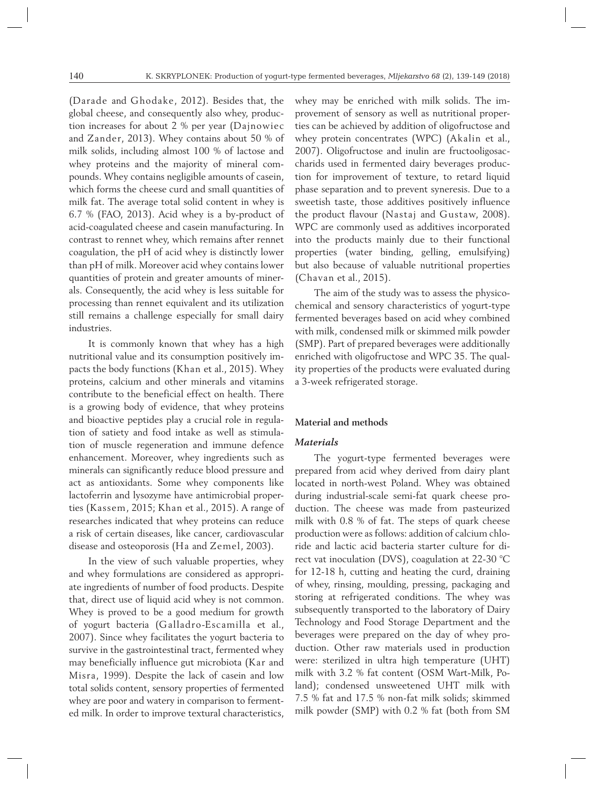(Darade and Ghodake, 2012). Besides that, the global cheese, and consequently also whey, production increases for about 2 % per year (Dajnowiec and Zander, 2013). Whey contains about 50 % of milk solids, including almost 100 % of lactose and whey proteins and the majority of mineral compounds. Whey contains negligible amounts of casein, which forms the cheese curd and small quantities of milk fat. The average total solid content in whey is 6.7 % (FAO, 2013). Acid whey is a by-product of acid-coagulated cheese and casein manufacturing. In contrast to rennet whey, which remains after rennet coagulation, the pH of acid whey is distinctly lower than pH of milk. Moreover acid whey contains lower quantities of protein and greater amounts of minerals. Consequently, the acid whey is less suitable for processing than rennet equivalent and its utilization still remains a challenge especially for small dairy industries.

It is commonly known that whey has a high nutritional value and its consumption positively impacts the body functions (Khan et al., 2015). Whey proteins, calcium and other minerals and vitamins contribute to the beneficial effect on health. There is a growing body of evidence, that whey proteins and bioactive peptides play a crucial role in regulation of satiety and food intake as well as stimulation of muscle regeneration and immune defence enhancement. Moreover, whey ingredients such as minerals can significantly reduce blood pressure and act as antioxidants. Some whey components like lactoferrin and lysozyme have antimicrobial properties (Kassem, 2015; Khan et al., 2015). A range of researches indicated that whey proteins can reduce a risk of certain diseases, like cancer, cardiovascular disease and osteoporosis (Ha and Zemel, 2003).

In the view of such valuable properties, whey and whey formulations are considered as appropriate ingredients of number of food products. Despite that, direct use of liquid acid whey is not common. Whey is proved to be a good medium for growth of yogurt bacteria (Galladro-Escamilla et al., 2007). Since whey facilitates the yogurt bacteria to survive in the gastrointestinal tract, fermented whey may beneficially influence gut microbiota (Kar and Misra, 1999). Despite the lack of casein and low total solids content, sensory properties of fermented whey are poor and watery in comparison to fermented milk. In order to improve textural characteristics, whey may be enriched with milk solids. The improvement of sensory as well as nutritional properties can be achieved by addition of oligofructose and whey protein concentrates (WPC) (Akalin et al., 2007). Oligofructose and inulin are fructooligosaccharids used in fermented dairy beverages production for improvement of texture, to retard liquid phase separation and to prevent syneresis. Due to a sweetish taste, those additives positively influence the product flavour (Nastaj and Gustaw, 2008). WPC are commonly used as additives incorporated into the products mainly due to their functional properties (water binding, gelling, emulsifying) but also because of valuable nutritional properties (Chavan et al., 2015).

The aim of the study was to assess the physicochemical and sensory characteristics of yogurt-type fermented beverages based on acid whey combined with milk, condensed milk or skimmed milk powder (SMP). Part of prepared beverages were additionally enriched with oligofructose and WPC 35. The quality properties of the products were evaluated during a 3-week refrigerated storage.

### **Material and methods**

# *Materials*

The yogurt-type fermented beverages were prepared from acid whey derived from dairy plant located in north-west Poland. Whey was obtained during industrial-scale semi-fat quark cheese production. The cheese was made from pasteurized milk with 0.8 % of fat. The steps of quark cheese production were as follows: addition of calcium chloride and lactic acid bacteria starter culture for direct vat inoculation (DVS), coagulation at 22-30 °C for 12-18 h, cutting and heating the curd, draining of whey, rinsing, moulding, pressing, packaging and storing at refrigerated conditions. The whey was subsequently transported to the laboratory of Dairy Technology and Food Storage Department and the beverages were prepared on the day of whey production. Other raw materials used in production were: sterilized in ultra high temperature (UHT) milk with 3.2 % fat content (OSM Wart-Milk, Poland); condensed unsweetened UHT milk with 7.5 % fat and 17.5 % non-fat milk solids; skimmed milk powder (SMP) with 0.2 % fat (both from SM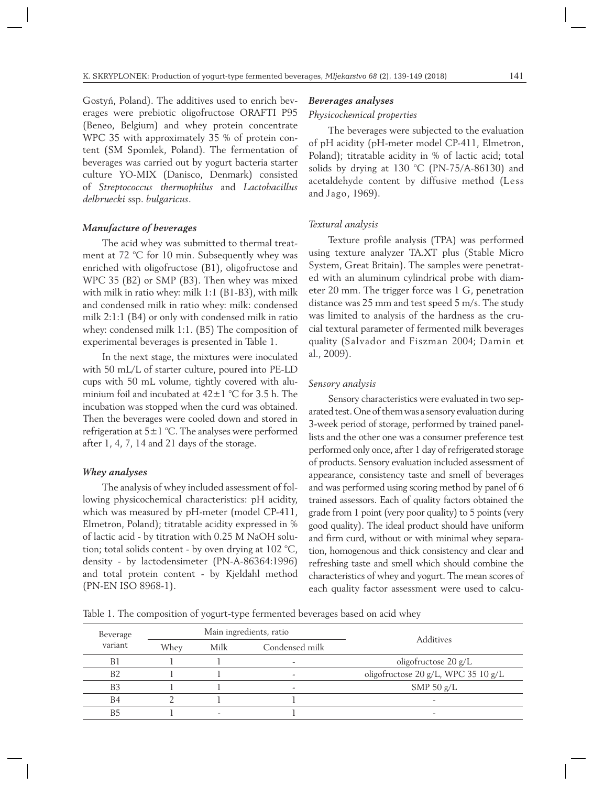Gostyń, Poland). The additives used to enrich beverages were prebiotic oligofructose ORAFTI P95 (Beneo, Belgium) and whey protein concentrate WPC 35 with approximately 35 % of protein content (SM Spomlek, Poland). The fermentation of beverages was carried out by yogurt bacteria starter culture YO-MIX (Danisco, Denmark) consisted of *Streptococcus thermophilus* and *Lactobacillus delbruecki* ssp. *bulgaricus*.

## *Manufacture of beverages*

The acid whey was submitted to thermal treatment at 72 °C for 10 min. Subsequently whey was enriched with oligofructose (B1), oligofructose and WPC 35 (B2) or SMP (B3). Then whey was mixed with milk in ratio whey: milk 1:1 (B1-B3), with milk and condensed milk in ratio whey: milk: condensed milk 2:1:1 (B4) or only with condensed milk in ratio whey: condensed milk 1:1. (B5) The composition of experimental beverages is presented in Table 1.

In the next stage, the mixtures were inoculated with 50 mL/L of starter culture, poured into PE-LD cups with 50 mL volume, tightly covered with aluminium foil and incubated at  $42 \pm 1$  °C for 3.5 h. The incubation was stopped when the curd was obtained. Then the beverages were cooled down and stored in refrigeration at  $5\pm1$  °C. The analyses were performed after 1, 4, 7, 14 and 21 days of the storage.

### *Whey analyses*

The analysis of whey included assessment of following physicochemical characteristics: pH acidity, which was measured by pH-meter (model CP-411, Elmetron, Poland); titratable acidity expressed in % of lactic acid - by titration with 0.25 M NaOH solution; total solids content - by oven drying at 102 °C, density - by lactodensimeter (PN-A-86364:1996) and total protein content - by Kjeldahl method (PN-EN ISO 8968-1).

#### *Beverages analyses*

#### *Physicochemical properties*

The beverages were subjected to the evaluation of pH acidity (pH-meter model CP-411, Elmetron, Poland); titratable acidity in % of lactic acid; total solids by drying at 130 °C (PN-75/A-86130) and acetaldehyde content by diffusive method (Less and Jago, 1969).

#### *Textural analysis*

Texture profile analysis (TPA) was performed using texture analyzer TA.XT plus (Stable Micro System, Great Britain). The samples were penetrated with an aluminum cylindrical probe with diameter 20 mm. The trigger force was 1 G, penetration distance was 25 mm and test speed 5 m/s. The study was limited to analysis of the hardness as the crucial textural parameter of fermented milk beverages quality (Salvador and Fiszman 2004; Damin et al., 2009).

## *Sensory analysis*

Sensory characteristics were evaluated in two separated test. One of them was a sensory evaluation during 3-week period of storage, performed by trained panellists and the other one was a consumer preference test performed only once, after 1 day of refrigerated storage of products. Sensory evaluation included assessment of appearance, consistency taste and smell of beverages and was performed using scoring method by panel of 6 trained assessors. Each of quality factors obtained the grade from 1 point (very poor quality) to 5 points (very good quality). The ideal product should have uniform and firm curd, without or with minimal whey separation, homogenous and thick consistency and clear and refreshing taste and smell which should combine the characteristics of whey and yogurt. The mean scores of each quality factor assessment were used to calcu-

Table 1. The composition of yogurt-type fermented beverages based on acid whey

| Beverage       |      |                        | Main ingredients, ratio | <b>Additives</b>                    |  |
|----------------|------|------------------------|-------------------------|-------------------------------------|--|
| variant        | Whey | Condensed milk<br>Milk |                         |                                     |  |
| B1             |      |                        |                         | oligofructose $20 g/L$              |  |
| B <sub>2</sub> |      |                        |                         | oligofructose 20 g/L, WPC 35 10 g/L |  |
| B <sub>3</sub> |      |                        |                         | SMP 50 $g/L$                        |  |
| <b>B4</b>      |      |                        |                         |                                     |  |
| B۴             |      |                        |                         |                                     |  |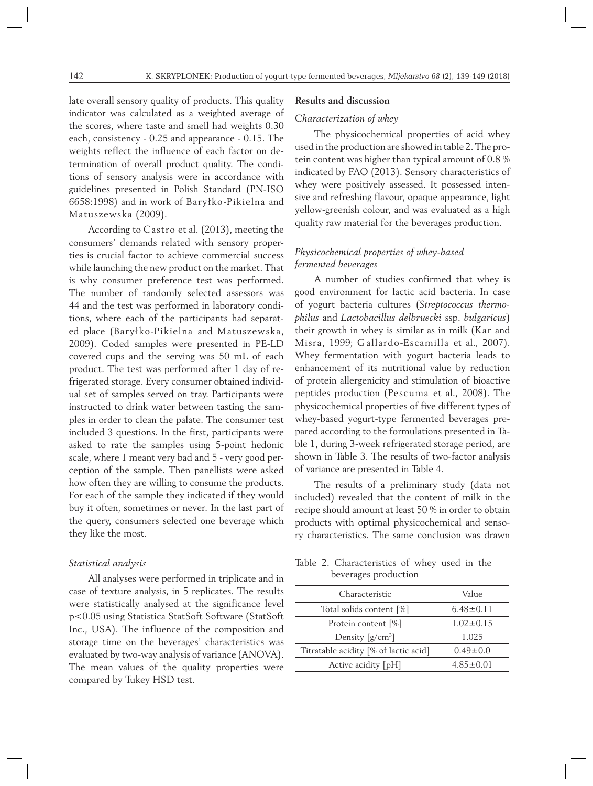late overall sensory quality of products. This quality indicator was calculated as a weighted average of the scores, where taste and smell had weights 0.30 each, consistency - 0.25 and appearance - 0.15. The weights reflect the influence of each factor on determination of overall product quality. The conditions of sensory analysis were in accordance with guidelines presented in Polish Standard (PN-ISO 6658:1998) and in work of Baryłko-Pikielna and Matuszewska (2009).

According to Castro et al. (2013), meeting the consumers' demands related with sensory properties is crucial factor to achieve commercial success while launching the new product on the market. That is why consumer preference test was performed. The number of randomly selected assessors was 44 and the test was performed in laboratory conditions, where each of the participants had separated place (Baryłko-Pikielna and Matuszewska, 2009). Coded samples were presented in PE-LD covered cups and the serving was 50 mL of each product. The test was performed after 1 day of refrigerated storage. Every consumer obtained individual set of samples served on tray. Participants were instructed to drink water between tasting the samples in order to clean the palate. The consumer test included 3 questions. In the first, participants were asked to rate the samples using 5-point hedonic scale, where 1 meant very bad and 5 - very good perception of the sample. Then panellists were asked how often they are willing to consume the products. For each of the sample they indicated if they would buy it often, sometimes or never. In the last part of the query, consumers selected one beverage which they like the most.

## *Statistical analysis*

All analyses were performed in triplicate and in case of texture analysis, in 5 replicates. The results were statistically analysed at the significance level p<0.05 using Statistica StatSoft Software (StatSoft Inc., USA). The influence of the composition and storage time on the beverages' characteristics was evaluated by two-way analysis of variance (ANOVA). The mean values of the quality properties were compared by Tukey HSD test.

#### **Results and discussion**

#### *Characterization of whey*

The physicochemical properties of acid whey used in the production are showed in table 2. The protein content was higher than typical amount of 0.8 % indicated by FAO (2013). Sensory characteristics of whey were positively assessed. It possessed intensive and refreshing flavour, opaque appearance, light yellow-greenish colour, and was evaluated as a high quality raw material for the beverages production.

# *Physicochemical properties of whey-based fermented beverages*

A number of studies confirmed that whey is good environment for lactic acid bacteria. In case of yogurt bacteria cultures (*Streptococcus thermophilus* and *Lactobacillus delbruecki* ssp. *bulgaricus*) their growth in whey is similar as in milk (Kar and Misra, 1999; Gallardo-Escamilla et al., 2007). Whey fermentation with yogurt bacteria leads to enhancement of its nutritional value by reduction of protein allergenicity and stimulation of bioactive peptides production (Pescuma et al., 2008). The physicochemical properties of five different types of whey-based yogurt-type fermented beverages prepared according to the formulations presented in Table 1, during 3-week refrigerated storage period, are shown in Table 3. The results of two-factor analysis of variance are presented in Table 4.

The results of a preliminary study (data not included) revealed that the content of milk in the recipe should amount at least 50 % in order to obtain products with optimal physicochemical and sensory characteristics. The same conclusion was drawn

Table 2. Characteristics of whey used in the beverages production

| Characteristic                        | Value           |  |  |
|---------------------------------------|-----------------|--|--|
| Total solids content [%]              | $6.48 \pm 0.11$ |  |  |
| Protein content [%]                   | $1.02 \pm 0.15$ |  |  |
| Density $\left[\frac{g}{cm^3}\right]$ | 1.025           |  |  |
| Titratable acidity [% of lactic acid] | $0.49 + 0.0$    |  |  |
| Active acidity [pH]                   | $4.85 + 0.01$   |  |  |
|                                       |                 |  |  |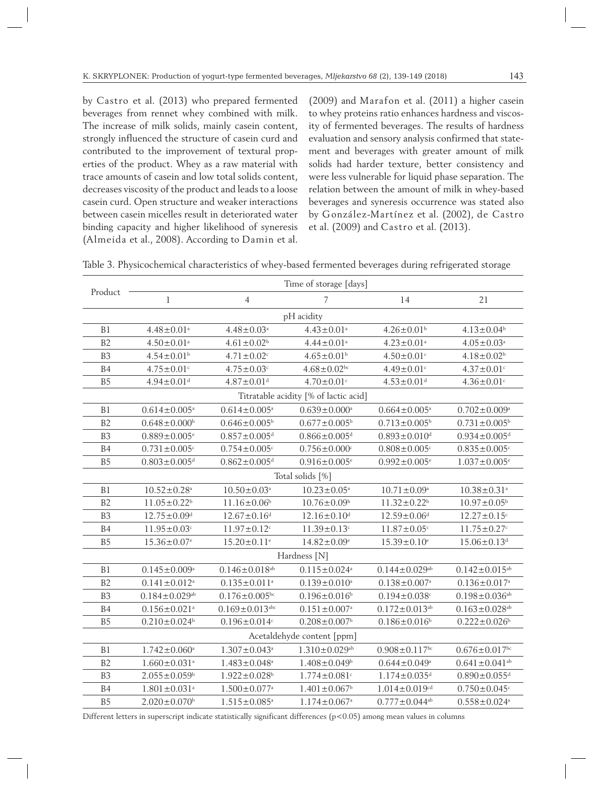by Castro et al. (2013) who prepared fermented beverages from rennet whey combined with milk. The increase of milk solids, mainly casein content, strongly influenced the structure of casein curd and contributed to the improvement of textural properties of the product. Whey as a raw material with trace amounts of casein and low total solids content, decreases viscosity of the product and leads to a loose casein curd. Open structure and weaker interactions between casein micelles result in deteriorated water binding capacity and higher likelihood of syneresis (Almeida et al., 2008). According to Damin et al.

(2009) and Marafon et al. (2011) a higher casein to whey proteins ratio enhances hardness and viscosity of fermented beverages. The results of hardness evaluation and sensory analysis confirmed that statement and beverages with greater amount of milk solids had harder texture, better consistency and were less vulnerable for liquid phase separation. The relation between the amount of milk in whey-based beverages and syneresis occurrence was stated also by González-Martínez et al. (2002), de Castro et al. (2009) and Castro et al. (2013).

| Table 3. Physicochemical characteristics of whey-based fermented beverages during refrigerated storage |  |  |  |  |  |
|--------------------------------------------------------------------------------------------------------|--|--|--|--|--|
|                                                                                                        |  |  |  |  |  |

|                                       | Time of storage [days]          |                                  |                                 |                                 |                                 |  |  |  |
|---------------------------------------|---------------------------------|----------------------------------|---------------------------------|---------------------------------|---------------------------------|--|--|--|
| Product                               | $\mathbf l$                     | $\overline{4}$                   | 7                               | 14                              | 21                              |  |  |  |
| pH acidity                            |                                 |                                  |                                 |                                 |                                 |  |  |  |
| B <sub>1</sub>                        | $4.48 \pm 0.01^a$               | $4.48 \pm 0.03$ <sup>a</sup>     | $4.43 \pm 0.01$ <sup>a</sup>    | $4.26 \pm 0.01$ <sup>b</sup>    | $4.13 \pm 0.04$ <sup>b</sup>    |  |  |  |
| B2                                    | $4.50 \pm 0.01$ <sup>a</sup>    | $4.61 \pm 0.02$ <sup>b</sup>     | $4.44 \pm 0.01$ <sup>a</sup>    | $4.23 \pm 0.01$ <sup>a</sup>    | $4.05 \pm 0.03$ <sup>a</sup>    |  |  |  |
| B <sub>3</sub>                        | $4.54 \pm 0.01$ <sup>b</sup>    | $4.71 \pm 0.02$ <sup>c</sup>     | $4.65 \pm 0.01$ <sup>b</sup>    | $4.50 \pm 0.01$ <sup>c</sup>    | $4.18 \pm 0.02$ <sup>b</sup>    |  |  |  |
| B4                                    | $4.75 \pm 0.01$ <sup>c</sup>    | $4.75 \pm 0.03$ <sup>c</sup>     | $4.68 \pm 0.02$ bc              | $4.49 \pm 0.01$ c               | $4.37 \pm 0.01$ <sup>c</sup>    |  |  |  |
| B <sub>5</sub>                        | $4.94 \pm 0.01$ <sup>d</sup>    | $4.87 \pm 0.01$ <sup>d</sup>     | $4.70 \pm 0.01$ <sup>c</sup>    | $4.53 \pm 0.01$ <sup>d</sup>    | $4.36 \pm 0.01$ <sup>c</sup>    |  |  |  |
| Titratable acidity [% of lactic acid] |                                 |                                  |                                 |                                 |                                 |  |  |  |
| B1                                    | $0.614 \pm 0.005$ <sup>a</sup>  | $0.614 \pm 0.005$ <sup>a</sup>   | $0.639 \pm 0.000^a$             | $0.664 \pm 0.005$ <sup>a</sup>  | $0.702 \pm 0.009$ <sup>a</sup>  |  |  |  |
| B <sub>2</sub>                        | $0.648 \pm 0.000$ <sup>b</sup>  | $0.646 \pm 0.005^b$              | $0.677 \pm 0.005^b$             | $0.713 \pm 0.005^b$             | $0.731 \pm 0.005^b$             |  |  |  |
| B <sub>3</sub>                        | $0.889 \pm 0.005$ <sup>e</sup>  | $0.857 \pm 0.005$ <sup>d</sup>   | $0.866 \pm 0.005$ <sup>d</sup>  | $0.893 \pm 0.010$ <sup>d</sup>  | $0.934 \pm 0.005$ <sup>d</sup>  |  |  |  |
| B4                                    | $0.731 \pm 0.005$ <sup>c</sup>  | $0.754 \pm 0.005$ <sup>c</sup>   | $0.756 \pm 0.000$ <sup>c</sup>  | $0.808 \pm 0.005$ <sup>c</sup>  | $0.835 \pm 0.005$ <sup>c</sup>  |  |  |  |
| B <sub>5</sub>                        | $0.803 \pm 0.005$ <sup>d</sup>  | $0.862 \pm 0.005$ <sup>d</sup>   | $0.916 \pm 0.005$ <sup>e</sup>  | $0.992 \pm 0.005$ <sup>e</sup>  | $1.037 \pm 0.005$ <sup>e</sup>  |  |  |  |
|                                       |                                 |                                  | Total solids [%]                |                                 |                                 |  |  |  |
| B1                                    | $10.52 \pm 0.28$ <sup>a</sup>   | $10.50 \pm 0.03$ <sup>a</sup>    | $10.23 \pm 0.05$ <sup>a</sup>   | $10.71 \pm 0.09^a$              | $10.38 \pm 0.31$ <sup>a</sup>   |  |  |  |
| B2                                    | $11.05 \pm 0.22$ <sup>b</sup>   | $11.16 \pm 0.06$ <sup>b</sup>    | $10.76 \pm 0.09^{\rm b}$        | $11.32 \pm 0.22$ <sup>b</sup>   | $10.97 \pm 0.05^{\circ}$        |  |  |  |
| B <sub>3</sub>                        | $12.75 \pm 0.09$ <sup>d</sup>   | $12.67 \pm 0.16$ <sup>d</sup>    | $12.16 \pm 0.10$ <sup>d</sup>   | $12.59 \pm 0.06$ <sup>d</sup>   | $12.27 \pm 0.15$ <sup>c</sup>   |  |  |  |
| B4                                    | $11.95 \pm 0.03$ <sup>c</sup>   | $11.97 \pm 0.12$ <sup>c</sup>    | $11.39 \pm 0.13$ <sup>c</sup>   | $11.87 \pm 0.05$ <sup>c</sup>   | $11.75 \pm 0.27$ c              |  |  |  |
| B <sub>5</sub>                        | $15.36 \pm 0.07$ <sup>e</sup>   | $15.20 \pm 0.11$ <sup>e</sup>    | $14.82 \pm 0.09$ <sup>e</sup>   | $15.39 \pm 0.10$ <sup>e</sup>   | $15.06 \pm 0.13$ <sup>d</sup>   |  |  |  |
|                                       |                                 |                                  | Hardness [N]                    |                                 |                                 |  |  |  |
| B1                                    | $0.145 \pm 0.009^a$             | $0.146 \pm 0.018$ <sup>ab</sup>  | $0.115 \pm 0.024$ <sup>a</sup>  | $0.144 \pm 0.029$ <sup>ab</sup> | $0.142 \pm 0.015^{ab}$          |  |  |  |
| B2                                    | $0.141 \pm 0.012$ <sup>a</sup>  | $0.135 \pm 0.011$ <sup>a</sup>   | $0.139 \pm 0.010^a$             | $0.138 \pm 0.007$ <sup>a</sup>  | $0.136 \pm 0.017$ <sup>a</sup>  |  |  |  |
| B <sub>3</sub>                        | $0.184 \pm 0.029$ <sup>ab</sup> | $0.176 \pm 0.005$ <sup>bc</sup>  | $0.196 \pm 0.016$ <sup>b</sup>  | $0.194 \pm 0.038$ <sup>c</sup>  | $0.198 \pm 0.036^{ab}$          |  |  |  |
| B4                                    | $0.156 \pm 0.021$ <sup>a</sup>  | $0.169 \pm 0.013$ <sup>abc</sup> | $0.151 \pm 0.007$ <sup>a</sup>  | $0.172 \pm 0.013$ <sup>ab</sup> | $0.163 \pm 0.028$ <sup>ab</sup> |  |  |  |
| B <sub>5</sub>                        | $0.210 \pm 0.024$ <sup>b</sup>  | $0.196 \pm 0.014$ <sup>c</sup>   | $0.208 \pm 0.007$ <sup>b</sup>  | $0.186 \pm 0.016^b$             | $0.222 \pm 0.026$ <sup>b</sup>  |  |  |  |
|                                       | Acetaldehyde content [ppm]      |                                  |                                 |                                 |                                 |  |  |  |
| B1                                    | $1.742 \pm 0.060^a$             | $1.307 \pm 0.043$ <sup>a</sup>   | $1.310 \pm 0.029$ <sup>ab</sup> | $0.908 \pm 0.117$ <sup>bc</sup> | $0.676 \pm 0.017$ bc            |  |  |  |
| B2                                    | $1.660 \pm 0.031$ <sup>a</sup>  | $1.483 \pm 0.048$ <sup>a</sup>   | $1.408 \pm 0.049$ <sup>b</sup>  | $0.644 \pm 0.049$ <sup>a</sup>  | $0.641 \pm 0.041$ <sup>ab</sup> |  |  |  |
| B <sub>3</sub>                        | $2.055 \pm 0.059$ <sup>b</sup>  | $1.922 \pm 0.028$ <sup>b</sup>   | $1.774 \pm 0.081$ <sup>c</sup>  | $1.174 \pm 0.035$ <sup>d</sup>  | $0.890 \pm 0.055$ <sup>d</sup>  |  |  |  |
| B <sub>4</sub>                        | $1.801 \pm 0.031$ <sup>a</sup>  | $1.500 \pm 0.077$ <sup>a</sup>   | $1.401 \pm 0.067$ <sup>b</sup>  | $1.014 \pm 0.019$ <sup>cd</sup> | $0.750 \pm 0.045$ <sup>c</sup>  |  |  |  |
| B <sub>5</sub>                        | $2.020 \pm 0.070$ <sup>b</sup>  | $1.515 \pm 0.085$ <sup>a</sup>   | $1.174 \pm 0.067$ <sup>a</sup>  | $0.777 \pm 0.044$ <sup>ab</sup> | $0.558 \pm 0.024$ <sup>a</sup>  |  |  |  |

Different letters in superscript indicate statistically significant differences (p<0.05) among mean values in columns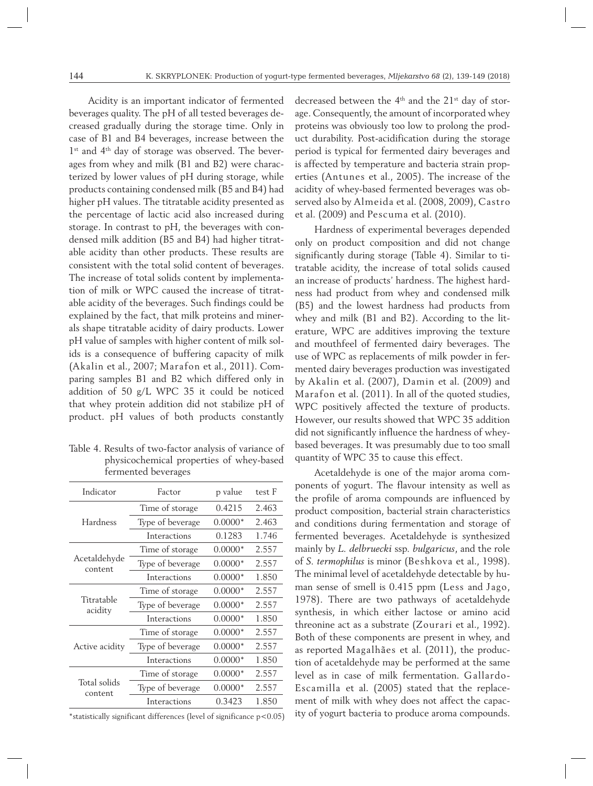Acidity is an important indicator of fermented beverages quality. The pH of all tested beverages decreased gradually during the storage time. Only in case of B1 and B4 beverages, increase between the 1<sup>st</sup> and 4<sup>th</sup> day of storage was observed. The beverages from whey and milk (B1 and B2) were characterized by lower values of pH during storage, while products containing condensed milk (B5 and B4) had higher pH values. The titratable acidity presented as the percentage of lactic acid also increased during storage. In contrast to pH, the beverages with condensed milk addition (B5 and B4) had higher titratable acidity than other products. These results are consistent with the total solid content of beverages. The increase of total solids content by implementation of milk or WPC caused the increase of titratable acidity of the beverages. Such findings could be explained by the fact, that milk proteins and minerals shape titratable acidity of dairy products. Lower pH value of samples with higher content of milk solids is a consequence of buffering capacity of milk (Akalin et al., 2007; Marafon et al., 2011). Comparing samples B1 and B2 which differed only in addition of 50 g/L WPC 35 it could be noticed that whey protein addition did not stabilize pH of product. pH values of both products constantly

Table 4. Results of two-factor analysis of variance of physicochemical properties of whey-based fermented beverages

| Indicator               | Factor           | p value   | test F |
|-------------------------|------------------|-----------|--------|
|                         | Time of storage  | 0.4215    | 2.463  |
| Hardness                | Type of beverage | $0.0000*$ | 2.463  |
|                         | Interactions     | 0.1283    | 1.746  |
|                         | Time of storage  | $0.0000*$ | 2.557  |
| Acetaldehyde<br>content | Type of beverage | $0.0000*$ | 2.557  |
|                         | Interactions     | $0.0000*$ | 1.850  |
|                         | Time of storage  | $0.0000*$ | 2.557  |
| Titratable<br>acidity   | Type of beverage | $0.0000*$ | 2.557  |
|                         | Interactions     | $0.0000*$ | 1.850  |
|                         | Time of storage  | $0.0000*$ | 2.557  |
| Active acidity          | Type of beverage | $0.0000*$ | 2.557  |
|                         | Interactions     | $0.0000*$ | 1.850  |
|                         | Time of storage  | $0.0000*$ | 2.557  |
| Total solids<br>content | Type of beverage | $0.0000*$ | 2.557  |
|                         | Interactions     | 0.3423    | 1.850  |

\*statistically significant differences (level of significance p<0.05)

decreased between the 4<sup>th</sup> and the 21<sup>st</sup> day of storage. Consequently, the amount of incorporated whey proteins was obviously too low to prolong the product durability. Post-acidification during the storage period is typical for fermented dairy beverages and is affected by temperature and bacteria strain properties (Antunes et al., 2005). The increase of the acidity of whey-based fermented beverages was observed also by Almeida et al. (2008, 2009), Castro et al. (2009) and Pescuma et al. (2010).

Hardness of experimental beverages depended only on product composition and did not change significantly during storage (Table 4). Similar to titratable acidity, the increase of total solids caused an increase of products' hardness. The highest hardness had product from whey and condensed milk (B5) and the lowest hardness had products from whey and milk (B1 and B2). According to the literature, WPC are additives improving the texture and mouthfeel of fermented dairy beverages. The use of WPC as replacements of milk powder in fermented dairy beverages production was investigated by Akalin et al. (2007), Damin et al. (2009) and Marafon et al. (2011). In all of the quoted studies, WPC positively affected the texture of products. However, our results showed that WPC 35 addition did not significantly influence the hardness of wheybased beverages. It was presumably due to too small quantity of WPC 35 to cause this effect.

Acetaldehyde is one of the major aroma components of yogurt. The flavour intensity as well as the profile of aroma compounds are influenced by product composition, bacterial strain characteristics and conditions during fermentation and storage of fermented beverages. Acetaldehyde is synthesized mainly by *L. delbruecki* ssp*. bulgaricus*, and the role of *S. termophilus* is minor (Beshkova et al., 1998). The minimal level of acetaldehyde detectable by human sense of smell is 0.415 ppm (Less and Jago, 1978). There are two pathways of acetaldehyde synthesis, in which either lactose or amino acid threonine act as a substrate (Zourari et al., 1992). Both of these components are present in whey, and as reported Magalhães et al. (2011), the production of acetaldehyde may be performed at the same level as in case of milk fermentation. Gallardo-Escamilla et al. (2005) stated that the replacement of milk with whey does not affect the capacity of yogurt bacteria to produce aroma compounds.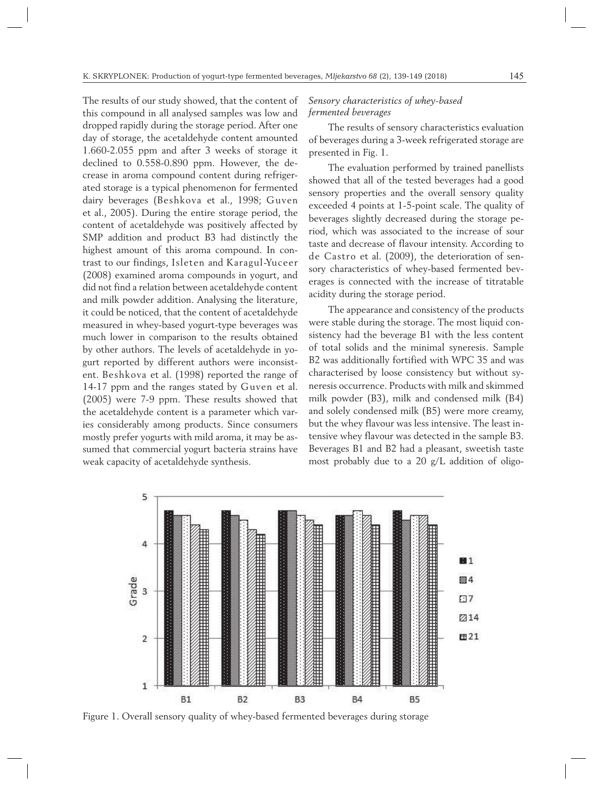The results of our study showed, that the content of this compound in all analysed samples was low and dropped rapidly during the storage period. After one day of storage, the acetaldehyde content amounted 1.660-2.055 ppm and after 3 weeks of storage it declined to 0.558-0.890 ppm. However, the decrease in aroma compound content during refrigerated storage is a typical phenomenon for fermented dairy beverages (Beshkova et al., 1998; Guven et al., 2005). During the entire storage period, the content of acetaldehyde was positively affected by SMP addition and product B3 had distinctly the highest amount of this aroma compound. In contrast to our findings, Isleten and Karagul-Yuceer (2008) examined aroma compounds in yogurt, and did not find a relation between acetaldehyde content and milk powder addition. Analysing the literature, it could be noticed, that the content of acetaldehyde measured in whey-based yogurt-type beverages was much lower in comparison to the results obtained by other authors. The levels of acetaldehyde in yogurt reported by different authors were inconsistent. Beshkova et al. (1998) reported the range of 14-17 ppm and the ranges stated by Guven et al. (2005) were 7-9 ppm. These results showed that the acetaldehyde content is a parameter which varies considerably among products. Since consumers mostly prefer yogurts with mild aroma, it may be assumed that commercial yogurt bacteria strains have weak capacity of acetaldehyde synthesis.

## *Sensory characteristics of whey-based fermented beverages*

The results of sensory characteristics evaluation of beverages during a 3-week refrigerated storage are presented in Fig. 1.

The evaluation performed by trained panellists showed that all of the tested beverages had a good sensory properties and the overall sensory quality exceeded 4 points at 1-5-point scale. The quality of beverages slightly decreased during the storage period, which was associated to the increase of sour taste and decrease of flavour intensity. According to de Castro et al. (2009), the deterioration of sensory characteristics of whey-based fermented beverages is connected with the increase of titratable acidity during the storage period.

The appearance and consistency of the products were stable during the storage. The most liquid consistency had the beverage B1 with the less content of total solids and the minimal syneresis. Sample B2 was additionally fortified with WPC 35 and was characterised by loose consistency but without syneresis occurrence. Products with milk and skimmed milk powder (B3), milk and condensed milk (B4) and solely condensed milk (B5) were more creamy, but the whey flavour was less intensive. The least intensive whey flavour was detected in the sample B3. Beverages B1 and B2 had a pleasant, sweetish taste most probably due to a 20 g/L addition of oligo-



Figure 1. Overall sensory quality of whey-based fermented beverages during storage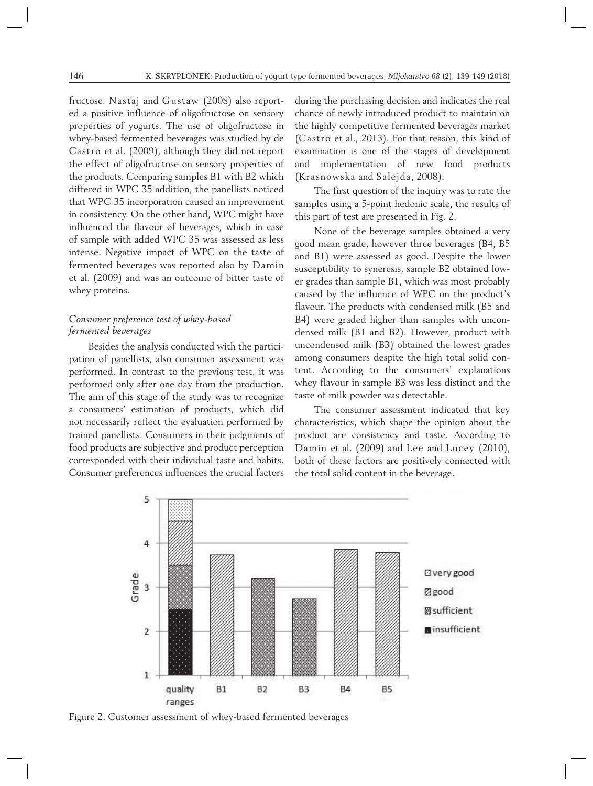fructose. Nastaj and Gustaw (2008) also reported a positive influence of oligofructose on sensory properties of yogurts. The use of oligofructose in whey-based fermented beverages was studied by de Castro et al. (2009), although they did not report the effect of oligofructose on sensory properties of the products. Comparing samples B1 with B2 which differed in WPC 35 addition, the panellists noticed that WPC 35 incorporation caused an improvement in consistency. On the other hand, WPC might have influenced the flavour of beverages, which in case of sample with added WPC 35 was assessed as less intense. Negative impact of WPC on the taste of fermented beverages was reported also by Damin et al. (2009) and was an outcome of bitter taste of whey proteins.

# *Consumer preference test of whey-based fermented beverages*

Besides the analysis conducted with the participation of panellists, also consumer assessment was performed. In contrast to the previous test, it was performed only after one day from the production. The aim of this stage of the study was to recognize a consumers' estimation of products, which did not necessarily reflect the evaluation performed by trained panellists. Consumers in their judgments of food products are subjective and product perception corresponded with their individual taste and habits. Consumer preferences influences the crucial factors during the purchasing decision and indicates the real chance of newly introduced product to maintain on the highly competitive fermented beverages market (Castro et al., 2013). For that reason, this kind of examination is one of the stages of development and implementation of new food products (Krasnowska and Salejda, 2008).

The first question of the inquiry was to rate the samples using a 5-point hedonic scale, the results of this part of test are presented in Fig. 2.

None of the beverage samples obtained a very good mean grade, however three beverages (B4, B5 and B1) were assessed as good. Despite the lower susceptibility to syneresis, sample B2 obtained lower grades than sample B1, which was most probably caused by the influence of WPC on the product's flavour. The products with condensed milk (B5 and B4) were graded higher than samples with uncondensed milk (B1 and B2). However, product with uncondensed milk (B3) obtained the lowest grades among consumers despite the high total solid content. According to the consumers' explanations whey flavour in sample B3 was less distinct and the taste of milk powder was detectable.

The consumer assessment indicated that key characteristics, which shape the opinion about the product are consistency and taste. According to Damin et al. (2009) and Lee and Lucey (2010), both of these factors are positively connected with the total solid content in the beverage.



Figure 2. Customer assessment of whey-based fermented beverages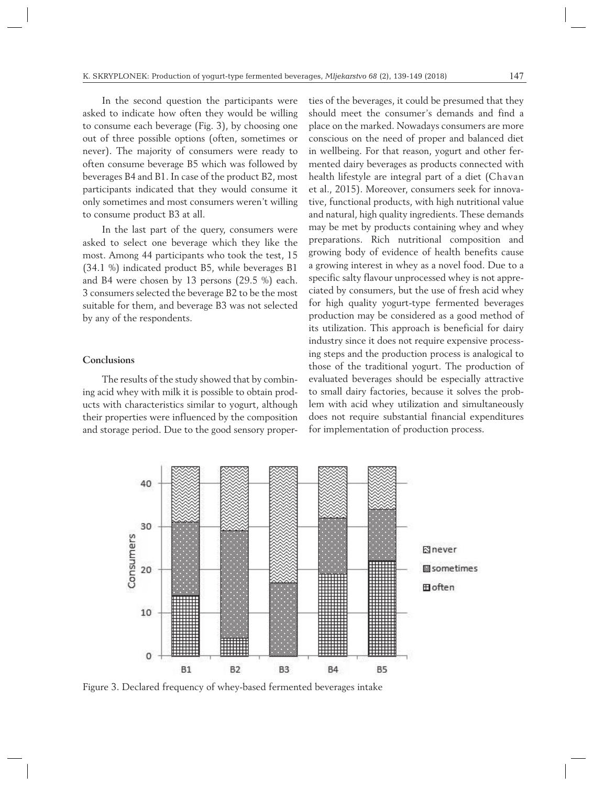In the second question the participants were asked to indicate how often they would be willing to consume each beverage (Fig. 3), by choosing one out of three possible options (often, sometimes or never). The majority of consumers were ready to often consume beverage B5 which was followed by beverages B4 and B1. In case of the product B2, most participants indicated that they would consume it only sometimes and most consumers weren't willing to consume product B3 at all.

In the last part of the query, consumers were asked to select one beverage which they like the most. Among 44 participants who took the test, 15 (34.1 %) indicated product B5, while beverages B1 and B4 were chosen by 13 persons (29.5 %) each. 3 consumers selected the beverage B2 to be the most suitable for them, and beverage B3 was not selected by any of the respondents.

## **Conclusions**

The results of the study showed that by combining acid whey with milk it is possible to obtain products with characteristics similar to yogurt, although their properties were influenced by the composition and storage period. Due to the good sensory proper-

ties of the beverages, it could be presumed that they should meet the consumer's demands and find a place on the marked. Nowadays consumers are more conscious on the need of proper and balanced diet in wellbeing. For that reason, yogurt and other fermented dairy beverages as products connected with health lifestyle are integral part of a diet (Chavan et al., 2015). Moreover, consumers seek for innovative, functional products, with high nutritional value and natural, high quality ingredients. These demands may be met by products containing whey and whey preparations. Rich nutritional composition and growing body of evidence of health benefits cause a growing interest in whey as a novel food. Due to a specific salty flavour unprocessed whey is not appreciated by consumers, but the use of fresh acid whey for high quality yogurt-type fermented beverages production may be considered as a good method of its utilization. This approach is beneficial for dairy industry since it does not require expensive processing steps and the production process is analogical to those of the traditional yogurt. The production of evaluated beverages should be especially attractive to small dairy factories, because it solves the problem with acid whey utilization and simultaneously does not require substantial financial expenditures for implementation of production process.



Figure 3. Declared frequency of whey-based fermented beverages intake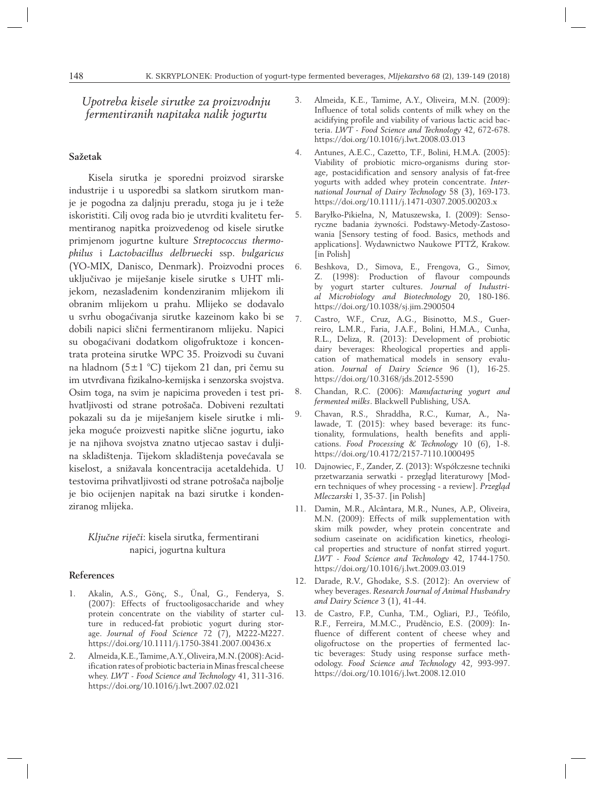*Upotreba kisele sirutke za proizvodnju fermentiranih napitaka nalik jogurtu* 

#### **Sažetak**

Kisela sirutka je sporedni proizvod sirarske industrije i u usporedbi sa slatkom sirutkom manje je pogodna za daljnju preradu, stoga ju je i teže iskoristiti. Cilj ovog rada bio je utvrditi kvalitetu fermentiranog napitka proizvedenog od kisele sirutke primjenom jogurtne kulture *Streptococcus thermophilus* i *Lactobacillus delbruecki* ssp. *bulgaricus* (YO-MIX, Danisco, Denmark). Proizvodni proces uključivao je miješanje kisele sirutke s UHT mlijekom, nezaslađenim kondenziranim mlijekom ili obranim mlijekom u prahu. Mlijeko se dodavalo u svrhu obogaćivanja sirutke kazeinom kako bi se dobili napici slični fermentiranom mlijeku. Napici su obogaćivani dodatkom oligofruktoze i koncentrata proteina sirutke WPC 35. Proizvodi su čuvani na hladnom (5±1 °C) tijekom 21 dan, pri čemu su im utvrđivana fizikalno-kemijska i senzorska svojstva. Osim toga, na svim je napicima proveden i test prihvatljivosti od strane potrošača. Dobiveni rezultati pokazali su da je miješanjem kisele sirutke i mlijeka moguće proizvesti napitke slične jogurtu, iako je na njihova svojstva znatno utjecao sastav i duljina skladištenja. Tijekom skladištenja povećavala se kiselost, a snižavala koncentracija acetaldehida. U testovima prihvatljivosti od strane potrošača najbolje je bio ocijenjen napitak na bazi sirutke i kondenziranog mlijeka.

# *Ključne riječi*: kisela sirutka, fermentirani napici, jogurtna kultura

#### **References**

- 1. Akalin, A.S., Gönç, S., Ünal, G., Fenderya, S. (2007): Effects of fructooligosaccharide and whey protein concentrate on the viability of starter culture in reduced-fat probiotic yogurt during storage. *Journal of Food Science* 72 (7), M222-M227. https://doi.org/10.1111/j.1750-3841.2007.00436.x
- 2. Almeida, K.E., Tamime, A.Y., Oliveira, M.N. (2008): Acidification rates of probiotic bacteria in Minas frescal cheese whey. *LWT - Food Science and Technology* 41, 311-316. https://doi.org/10.1016/j.lwt.2007.02.021
- 3. Almeida, K.E., Tamime, A.Y., Oliveira, M.N. (2009): Influence of total solids contents of milk whey on the acidifying profile and viability of various lactic acid bacteria. *LWT - Food Science and Technology* 42, 672-678. https://doi.org/10.1016/j.lwt.2008.03.013
- 4. Antunes, A.E.C., Cazetto, T.F., Bolini, H.M.A. (2005): Viability of probiotic micro-organisms during storage, postacidification and sensory analysis of fat-free yogurts with added whey protein concentrate. *International Journal of Dairy Technology* 58 (3), 169-173. https://doi.org/10.1111/j.1471-0307.2005.00203.x
- 5. Baryłko-Pikielna, N, Matuszewska, I. (2009): Sensoryczne badania żywności. Podstawy-Metody-Zastosowania [Sensory testing of food. Basics, methods and applications]. Wydawnictwo Naukowe PTTŻ, Krakow. [in Polish]
- 6. Beshkova, D., Simova, E., Frengova, G., Simov, Z. (1998): Production of flavour compounds by yogurt starter cultures. *Journal of Industrial Microbiology and Biotechnology* 20, 180-186. https://doi.org/10.1038/sj.jim.2900504
- 7. Castro, W.F., Cruz, A.G., Bisinotto, M.S., Guerreiro, L.M.R., Faria, J.A.F., Bolini, H.M.A., Cunha, R.L., Deliza, R. (2013): Development of probiotic dairy beverages: Rheological properties and application of mathematical models in sensory evaluation. *Journal of Dairy Science* 96 (1), 16-25. https://doi.org/10.3168/jds.2012-5590
- 8. Chandan, R.C. (2006): *Manufacturing yogurt and fermented milks*. Blackwell Publishing, USA.
- 9. Chavan, R.S., Shraddha, R.C., Kumar, A., Nalawade, T. (2015): whey based beverage: its functionality, formulations, health benefits and applications. *Food Processing & Technology* 10 (6), 1-8. https://doi.org/10.4172/2157-7110.1000495
- 10. Dajnowiec, F., Zander, Z. (2013): Współczesne techniki przetwarzania serwatki - przegląd literaturowy [Modern techniques of whey processing - a review]. *Przegląd Mleczarski* 1, 35-37. [in Polish]
- 11. Damin, M.R., Alcântara, M.R., Nunes, A.P., Oliveira, M.N. (2009): Effects of milk supplementation with skim milk powder, whey protein concentrate and sodium caseinate on acidification kinetics, rheological properties and structure of nonfat stirred yogurt. *LWT - Food Science and Technology* 42, 1744-1750. https://doi.org/10.1016/j.lwt.2009.03.019
- 12. Darade, R.V., Ghodake, S.S. (2012): An overview of whey beverages. *Research Journal of Animal Husbandry and Dairy Science* 3 (1), 41-44.
- 13. de Castro, F.P., Cunha, T.M., Ogliari, P.J., Teófilo, R.F., Ferreira, M.M.C., Prudêncio, E.S. (2009): Influence of different content of cheese whey and oligofructose on the properties of fermented lactic beverages: Study using response surface methodology. *Food Science and Technology* 42, 993-997. https://doi.org/10.1016/j.lwt.2008.12.010